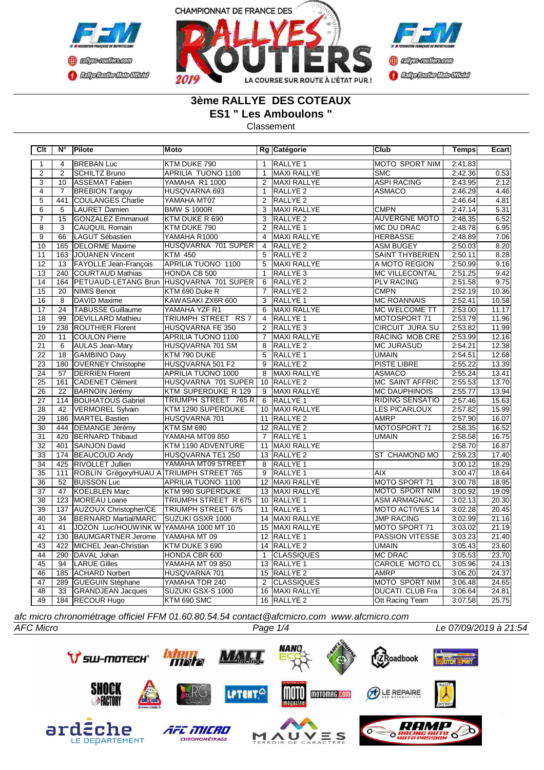





## **3ème RALLYE DES COTEAUX ES1 " Les Amboulons "**

Classement

| Clt             | N°              | Pilote                                   | <b>Moto</b>               |                 | Rg Catégorie        | <b>Club</b>            | Temps   | Ecart |
|-----------------|-----------------|------------------------------------------|---------------------------|-----------------|---------------------|------------------------|---------|-------|
| $\mathbf{1}$    | 4               | <b>BREBAN Luc</b>                        | KTM DUKE 790              | $\mathbf{1}$    | <b>RALLYE 1</b>     | <b>MOTO SPORT NIM</b>  | 2:41.83 |       |
| $\overline{2}$  | $\overline{2}$  | <b>SCHILTZ Bruno</b>                     | APRILIA TUONO 1100        | $\mathbf{1}$    | MAXI RALLYE         | <b>SMC</b>             | 2:42.36 | 0.53  |
| $\overline{3}$  | 10              | <b>ASSEMAT Fabien</b>                    | YAMAHA R1 1000            | $\overline{2}$  | MAXI RALLYE         | <b>ASPI RACING</b>     | 2:43.95 | 2.12  |
| $\overline{4}$  | $\overline{7}$  | <b>BREBION Tanguy</b>                    | HUSQVARNA 693             | $\mathbf{1}$    | <b>RALLYE 2</b>     | <b>ASMACO</b>          | 2:46.29 | 4.46  |
| $\overline{5}$  | 441             | <b>COULANGES Charlie</b>                 | YAMAHA MT07               | 2               | <b>RALLYE 2</b>     |                        | 2:46.64 | 4.81  |
| $\overline{6}$  | $\overline{5}$  | <b>LAURET Damien</b>                     | <b>BMW S 1000R</b>        | 3               | MAXI RALLYE         | <b>CMPN</b>            | 2:47.14 | 5.31  |
| 7               | 15              | <b>GONZALEZ Emmanuel</b>                 | KTM DUKE R 690            | 3               | <b>RALLYE 2</b>     | <b>AUVERGNE MOTO</b>   | 2:48.35 | 6.52  |
| 8               | 3               | <b>CAUQUIL Romain</b>                    | KTM DUKE 790              | 2               | RALLYE 1            | <b>MC DU DRAC</b>      | 2:48.78 | 6.95  |
| $\overline{9}$  | 66              | <b>LAGUT Sébastien</b>                   | YAMAHA R1000              | $\overline{4}$  | <b>MAXI RALLYE</b>  | <b>HERBASSE</b>        | 2:48.89 | 7.06  |
| 10              | 165             | <b>DELORME</b> Maxime                    | HUSQVARNA 701 SUPER       | $\overline{4}$  | RALLYE <sub>2</sub> | <b>ASM BUGEY</b>       | 2:50.03 | 8.20  |
| 11              | 163             | JOUANEN Vincent                          | <b>KTM 450</b>            | 5               | <b>RALLYE 2</b>     | <b>SAINT THYBERIEN</b> | 2:50.11 | 8.28  |
| 12              | 13              | <b>FAYOLLE Jean-François</b>             | <b>APRILIA TUONO 1100</b> | $5\overline{)}$ | <b>MAXI RALLYE</b>  | A MOTO REGION          | 2:50.99 | 9.16  |
| 13              | 240             | COURTAUD Mathias                         | HONDA CB 500              | $\mathbf{1}$    | RALLYE <sub>3</sub> | <b>MC VILLECONTAL</b>  | 2:51.25 | 9.42  |
| 14              | 164             | PETUAUD-LETANG Brun                      | HUSQVARNA 701 SUPER       | 6               | <b>RALLYE 2</b>     | <b>PLV RACING</b>      | 2:51.58 | 9.75  |
| 15              | $\overline{20}$ | <b>NIMIS Benoit</b>                      | KTM 690 Duke R            | $\overline{7}$  | RALLYE <sub>2</sub> | <b>CMPN</b>            | 2:52.19 | 10.36 |
| $\overline{16}$ | $\overline{8}$  | DAVID Maxime                             | KAWASAKI ZX6R 600         | $\overline{3}$  | RALLYE <sub>1</sub> | <b>MC ROANNAIS</b>     | 2:52.41 | 10.58 |
| 17              | 24              | <b>TABUSSE Guillaume</b>                 | YAMAHA YZF R1             | 6               | MAXI RALLYE         | MC WELCOME TT          | 2:53.00 | 11.17 |
| 18              | 99              | <b>DEVILLARD Mathieu</b>                 | TRIUMPH STREET RS 7       | $\overline{4}$  | <b>RALLYE 1</b>     | MOTOSPORT 71           | 2:53.79 | 11.96 |
| $\overline{19}$ | 238             | <b>ROUTHIER Florent</b>                  | HUSQVARNA FE 350          | $\overline{2}$  | RALLYE <sub>3</sub> | <b>CIRCUIT JURA SU</b> | 2:53.82 | 11.99 |
| 20              | 11              | <b>COULON Pierre</b>                     | APRILIA TUONO 1100        | $\overline{7}$  | <b>MAXI RALLYE</b>  | RACING MOB CRE         | 2:53.99 | 12.16 |
| 21              | 6               | <b>AULAS Jean-Mary</b>                   | HUSQVARNA 701 SM          | 8               | <b>RALLYE 2</b>     | <b>MC JURASUD</b>      | 2:54.21 | 12.38 |
| 22              | $\overline{18}$ | <b>GAMBINO Davy</b>                      | KTM 790 DUKE              | $\overline{5}$  | RALLYE <sub>1</sub> | <b>UMAIN</b>           | 2:54.51 | 12.68 |
| $\overline{23}$ | 180             | <b>OVERNEY Christophe</b>                | HUSQVARNA 501 F2          | $\overline{9}$  | <b>RALLYE 2</b>     | <b>PISTE LIBRE</b>     | 2:55.22 | 13.39 |
| $\overline{24}$ | $\overline{57}$ | <b>DERRIEN Florent</b>                   | <b>APRILIA TUONO 1000</b> | 8               | <b>MAXI RALLYE</b>  | <b>ASMACO</b>          | 2:55.24 | 13.41 |
| $\overline{25}$ | 161             | CADENET Clément                          | HUSQVARNA 701 SUPER       |                 | 10 RALLYE 2         | <b>MC SAINT AFFRIC</b> | 2:55.53 | 13.70 |
| $\overline{26}$ | $\overline{22}$ | <b>BARNOIN Jérémy</b>                    | KTM SUPERDUKE R 129       | 9               | MAXI RALLYE         | <b>MC DAUPHINOIS</b>   | 2:55.77 | 13.94 |
| 27              | 114             | <b>BOUHATOUS Gabriel</b>                 | TRIUMPH STREET 765 R      | 6               | <b>RALLYE 1</b>     | RIDING SENSATIO        | 2:57.46 | 15.63 |
| 28              | 42              | <b>VERMOREL Sylvain</b>                  | KTM 1290 SUPERDUKE        |                 | 10 MAXI RALLYE      | <b>LES PICARLOUX</b>   | 2:57.82 | 15.99 |
| 29              | 186             | MARTEL Bastien                           | HUSQVARNA 701             | 11              | RALLYE <sub>2</sub> | <b>AMRP</b>            | 2:57.90 | 16.07 |
| 30              | 444             | <b>DEMANGE Jérémy</b>                    | <b>KTM SM 690</b>         |                 | 12 RALLYE 2         | MOTOSPORT 71           | 2:58.35 | 16.52 |
| 31              | 420             | <b>BERNARD Thibaud</b>                   | YAMAHA MT09 850           | $\overline{7}$  | <b>RALLYE 1</b>     | <b>UMAIN</b>           | 2:58.58 | 16.75 |
| $\overline{32}$ | 401             | SAINJON David                            | KTM 1190 ADVENTURE        |                 | 11 MAXI RALLYE      |                        | 2:58.70 | 16.87 |
| $\overline{33}$ | 174             | <b>BEAUCOUD Andy</b>                     | HUSQVARNA TE1 250         |                 | 13 RALLYE 2         | <b>ST CHAMOND MO</b>   | 2:59.23 | 17.40 |
| $\overline{34}$ | 425             | <b>RIVOLLET Jullien</b>                  | YAMAHA MT09 STREET        | 8               | <b>RALLYE 1</b>     |                        | 3:00.12 | 18.29 |
| $\overline{35}$ | 111             | ROBLIN Grégory/HUAU A TRIUMPH STREET 765 |                           | 9               | RALLYE <sub>1</sub> | <b>AIX</b>             | 3:00.47 | 18.64 |
| $\overline{36}$ | $\overline{52}$ | <b>BUISSON Luc</b>                       | APRILIA TUONO 1100        |                 | 12 MAXI RALLYE      | MOTO SPORT 71          | 3:00.78 | 18.95 |
| 37              | 47              | <b>KOELBLEN Marc</b>                     | KTM 990 SUPERDUKE         |                 | 13 MAXI RALLYE      | MOTO SPORT NIM         | 3:00.92 | 19.09 |
| $\overline{38}$ | 123             | MOREAU Loane                             | TRIUMPH STREET R 675      |                 | 10 RALLYE 1         | <b>ASM ARMAGNAC</b>    | 3:02.13 | 20.30 |
| 39              | 137             | <b>AUZOUX Christopher/CE</b>             | <b>TRIUMPH STREET 675</b> |                 | 11 RALLYE 1         | <b>MOTO ACTIVES 14</b> | 3:02.28 | 20.45 |
| 40              | 34              | BERNARD Martial/MARC                     | SUZUKI GSXR 1000          |                 | 14 MAXI RALLYE      | <b>JMP RACING</b>      | 3:02.99 | 21.16 |
| 41              | 41              | JOZON Luc/HOUWINK W YAMAHA 1000 MT 10    |                           |                 | 15 MAXI RALLYE      | MOTO SPORT 71          | 3:03.02 | 21.19 |
| $\overline{42}$ | 130             | <b>BAUMGARTNER Jerome</b>                | YAMAHA MT 09              |                 | 12 RALLYE 1         | <b>PASSION VITESSE</b> | 3:03.23 | 21.40 |
| 43              | 422             | <b>MICHEL Jean-Christian</b>             | KTM DUKE 3 690            |                 | 14 RALLYE 2         | <b>UMAIN</b>           | 3:05.43 | 23.60 |
| $\overline{44}$ | 290             | DAVAL Johan                              | HONDA CBR 600             | $\mathbf{1}$    | <b>CLASSIQUES</b>   | <b>MC DRAC</b>         | 3:05.53 | 23.70 |
| 45              | 94              | <b>LARUE Gilles</b>                      | YAMAHA MT 09 850          |                 | 13 RALLYE 1         | <b>CAROLE MOTO CL</b>  | 3:05.96 | 24.13 |
| 46              | 185             | <b>ACHARD Norbert</b>                    | HUSQVARNA 701             |                 | 15 RALLYE 2         | <b>AMRP</b>            | 3:06.20 | 24.37 |
| 47              | 289             | <b>GUEGUIN Stéphane</b>                  | YAMAHA TDR 240            | 2               | <b>CLASSIQUES</b>   | MOTO SPORT NIM         | 3:06.48 | 24.65 |
| 48              | 33              | <b>GRANDJEAN Jacques</b>                 | SUZUKI GSX-S 1000         | 16              | <b>MAXI RALLYE</b>  | <b>DUCATI CLUB Fra</b> | 3:06.64 | 24.81 |
| 49              |                 | 184 RECOUR Hugo                          | KTM 690 SMC               |                 | 16 RALLYE 2         | Ott Racing Team        | 3:07.58 | 25.75 |

*afc micro chronométrage officiel FFM 01.60.80.54.54 contact@afcmicro.com www.afcmicro.com*

AFC MICRO

CHRONOMÉTRAGE

M

**SHOCK**<br>*<i>MACTORY* 

ardeche



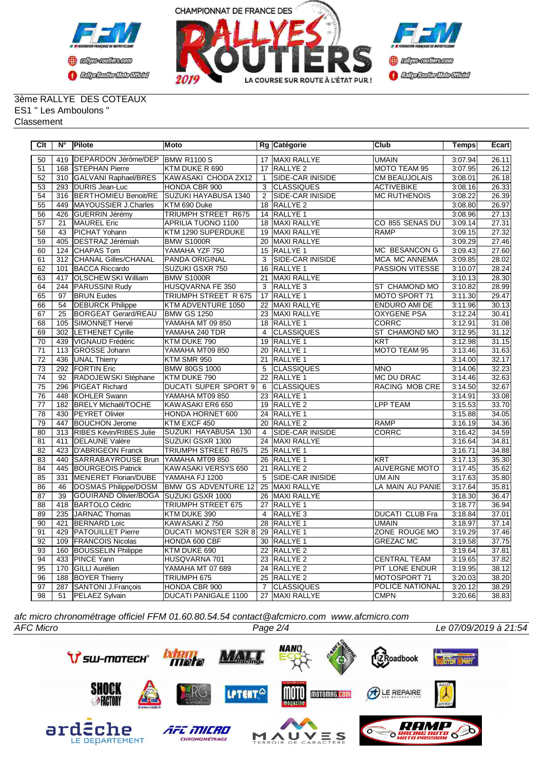



3ème RALLYE DES COTEAUX ES1 " Les Amboulons " **Classement** 

| Clt             | Ν°               | <b>Pilote</b>                | Moto                        |                 | Rg Catégorie            | <b>Club</b>            | <b>Temps</b> | Ecart |
|-----------------|------------------|------------------------------|-----------------------------|-----------------|-------------------------|------------------------|--------------|-------|
| 50              | 419              | DEPARDON Jérôme/DEP          | <b>BMW R1100 S</b>          |                 | 17 MAXI RALLYE          | <b>UMAIN</b>           | 3:07.94      | 26.11 |
| 51              | 168              | <b>STEPHAN Pierre</b>        | KTM DUKE R 690              | 17              | RALLYE <sub>2</sub>     | MOTO TEAM 95           | 3:07.95      | 26.12 |
| $\overline{52}$ | $\overline{310}$ | GALVANI Raphael/BRES         | KAWASAKI CHODA ZX12         | $\mathbf{1}$    | <b>SIDE-CAR INISIDE</b> | <b>CM BEAUJOLAIS</b>   | 3:08.01      | 26.18 |
| 53              | 293              | DURIS Jean-Luc               | HONDA CBR 900               | 3               | <b>CLASSIQUES</b>       | <b>ACTIVEBIKE</b>      | 3:08.16      | 26.33 |
| $\overline{54}$ | 316              | <b>BERTHOMIEU Benoit/RE</b>  | SUZUKI HAYABUSA 1340        | $\overline{2}$  | SIDE-CAR INISIDE        | <b>MC RUTHENOIS</b>    | 3:08.22      | 26.39 |
| 55              | 449              | MAYOUSSIER J.Charles         | KTM 690 Duke                | 18              | <b>RALLYE 2</b>         |                        | 3:08.80      | 26.97 |
| 56              | 426              | GUERRIN Jérémy               | TRIUMPH STREET R675         |                 | 14 RALLYE 1             |                        | 3:08.96      | 27.13 |
| 57              | 21               | MAUREL Eric                  | <b>APRILIA TUONO 1100</b>   | 18              | <b>MAXI RALLYE</b>      | CO 855 SENAS DU        | 3:09.14      | 27.31 |
| $\overline{58}$ | 43               | PICHAT Yohann                | KTM 1290 SUPERDUKE          | 19              | MAXI RALLYE             | <b>RAMP</b>            | 3:09.15      | 27.32 |
| $\overline{59}$ | 405              | <b>DESTRAZ Jérémiah</b>      | <b>BMW S1000R</b>           | $\overline{20}$ | <b>MAXI RALLYE</b>      |                        | 3:09.29      | 27.46 |
| 60              | 124              | CHAPAS Tom                   | YAMAHA YZF 750              | 15              | <b>RALLYE 1</b>         | MC BESANCON G          | 3:09.43      | 27.60 |
| 61              | 312              | <b>CHANAL Gilles/CHANAL</b>  | PANDA ORIGINAL              | 3               | SIDE-CAR INISIDE        | <b>MCA MC ANNEMA</b>   | 3:09.85      | 28.02 |
| 62              | 101              | <b>BACCA Riccardo</b>        | <b>SUZUKI GSXR 750</b>      | 16              | RALLYE <sub>1</sub>     | <b>PASSION VITESSE</b> | 3:10.07      | 28.24 |
| 63              | 417              | <b>OLSCHEWSKI William</b>    | <b>BMW S1000R</b>           | 21              | MAXI RALLYE             |                        | 3:10.13      | 28.30 |
| 64              | 244              | PARUSSINI Rudy               | HUSQVARNA FE 350            | 3               | RALLYE <sub>3</sub>     | <b>ST CHAMOND MO</b>   | 3:10.82      | 28.99 |
| 65              | 97               | <b>BRUN Eudes</b>            | TRIUMPH STREET R 675        | 17              | RALLYE <sub>1</sub>     | MOTO SPORT 71          | 3:11.30      | 29.47 |
| 66              | 54               | <b>DEBURCK Philippe</b>      | KTM ADVENTURE 1050          | 22              | MAXI RALLYE             | <b>ENDURO AMI DE</b>   | 3:11.96      | 30.13 |
| 67              | 25               | <b>BORGEAT Gerard/REAU</b>   | <b>BMW GS 1250</b>          | 23              | <b>MAXI RALLYE</b>      | <b>OXYGENE PSA</b>     | 3:12.24      | 30.41 |
| 68              | 105              | SIMONNET Hervé               | YAMAHA MT 09 850            |                 | 18 RALLYE 1             | <b>CORRC</b>           | 3:12.91      | 31.08 |
| 69              | 302              | <b>LETHENET Cyrille</b>      | YAMAHA 240 TDR              | $\overline{4}$  | <b>CLASSIQUES</b>       | ST CHAMOND MO          | 3:12.95      | 31.12 |
| 70              | 439              | VIGNAUD Frédéric             | KTM DUKE 790                |                 | 19 RALLYE 1             | <b>KRT</b>             | 3:12.98      | 31.15 |
| $\overline{71}$ | 113              | GROSSE Johann                | YAMAHA MT09 850             |                 | 20 RALLYE 1             | MOTO TEAM 95           | 3:13.46      | 31.63 |
| $\overline{72}$ | 436              | UNAL Thierry                 | KTM SMR 950                 | $\overline{21}$ | <b>RALLYE 1</b>         |                        | 3:14.00      | 32.17 |
| 73              | 292              | <b>IFORTIN Eric</b>          | <b>BMW 80GS 1000</b>        | 5               | <b>CLASSIQUES</b>       | <b>MNO</b>             | 3:14.06      | 32.23 |
| $\overline{74}$ | $\overline{92}$  | RADOJEWSKI Stéphane          | KTM DUKE 790                | $\overline{22}$ | <b>RALLYE 1</b>         | <b>MC DU DRAC</b>      | 3:14.46      | 32.63 |
| $\overline{75}$ | 296              | PIGEAT Richard               | <b>DUCATI SUPER SPORT 9</b> | 6               | ICLASSIQUES             | <b>RACING MOB CRE</b>  | 3:14.50      | 32.67 |
| 76              | 448              | KOHLER Swann                 | YAMAHA MT09 850             | 23              | <b>RALLYE 1</b>         |                        | 3:14.91      | 33.08 |
| $\overline{77}$ | 182              | <b>BRELY Michaël/TOCHE</b>   | KAWASAKI ER6 650            |                 | 19 RALLYE 2             | <b>LPP TEAM</b>        | 3:15.53      | 33.70 |
| $\overline{78}$ | 430              | <b>PEYRET Olivier</b>        | HONDA HORNET 600            |                 | 24 RALLYE 1             |                        | 3:15.88      | 34.05 |
| 79              | 447              | <b>BOUCHON Jerome</b>        | KTM EXCF 450                | 20              | <b>RALLYE 2</b>         | <b>RAMP</b>            | 3:16.19      | 34.36 |
| 80              | $\overline{313}$ | RIBES Kévin/RIBES Julie      | SUZUKI HAYABUSA 130         | $\overline{4}$  | <b>SIDE-CAR INISIDE</b> | <b>CORRC</b>           | 3:16.42      | 34.59 |
| $\overline{81}$ | 411              | <b>DELAUNE Valère</b>        | SUZUKI GSXR 1300            | 24              | <b>MAXI RALLYE</b>      |                        | 3:16.64      | 34.81 |
| 82              | 423              | <b>D'ABRIGEON Franck</b>     | TRIUMPH STREET R675         | 25              | <b>RALLYE 1</b>         |                        | 3:16.71      | 34.88 |
| 83              | 440              | SARRABAYROUSE Brun           | YAMAHA MT09 850             |                 | 26 RALLYE 1             | <b>KRT</b>             | 3:17.13      | 35.30 |
| 84              | 445              | <b>BOURGEOIS Patrick</b>     | KAWASAKI VERSYS 650         | 21              | <b>RALLYE 2</b>         | <b>AUVERGNE MOTO</b>   | 3:17.45      | 35.62 |
| 85              | 331              | MENERET Florian/DUBE         | YAMAHA FJ 1200              | 5               | SIDE-CAR INISIDE        | UM AIN                 | 3:17.63      | 35.80 |
| 86              | 46               | DOSMAS Philippe/DOSM         | <b>BMW GS ADVENTURE 12</b>  | $\overline{25}$ | MAXI RALLYE             | LA MAIN AU PANIE       | 3:17.64      | 35.81 |
| 87              | 39               | <b>GOUIRAND Olivier/BOGA</b> | SUZUKI GSXR 1000            | 26              | MAXI RALLYE             |                        | 3:18.30      | 36.47 |
| 88              | 418              | <b>BARTOLO Cédric</b>        | TRIUMPH STREET 675          | 27              | RALLYE <sub>1</sub>     |                        | 3:18.77      | 36.94 |
| 89              | 235              | JARNAC Thomas                | KTM DUKE 390                | 4               | RALLYE <sub>3</sub>     | <b>DUCATI CLUB Fra</b> | 3:18.84      | 37.01 |
| 90              | 421              | <b>BERNARD Loïc</b>          | KAWASAKI Z 750              |                 | 28 RALLYE 1             | <b>UMAIN</b>           | 3:18.97      | 37.14 |
| $\overline{91}$ | 429              | <b>PATOUILLET Pierre</b>     | DUCATI MONSTER S2R 8        |                 | 29 RALLYE 1             | ZONE ROUGE MO          | 3:19.29      | 37.46 |
| 92              | 109              | <b>FRANCOIS Nicolas</b>      | HONDA 600 CBF               | 30              | RALLYE 1                | <b>GREZAC MC</b>       | 3:19.58      | 37.75 |
| 93              | 160              | <b>BOUSSELIN Philippe</b>    | KTM DUKE 690                | 22              | RALLYE <sub>2</sub>     |                        | 3:19.64      | 37.81 |
| 94              | 433              | <b>PINCE Yann</b>            | HUSQVARNA 701               |                 | 23 RALLYE 2             | <b>CENTRAL TEAM</b>    | 3:19.65      | 37.82 |
| $\overline{95}$ | 170              | <b>GILLI Aurélien</b>        | YAMAHA MT 07 689            |                 | 24 RALLYE 2             | <b>PIT LONE ENDUR</b>  | 3:19.95      | 38.12 |
| 96              | 188              | <b>BOYER Thierry</b>         | TRIUMPH 675                 |                 | 25 RALLYE 2             | MOTOSPORT 71           | 3:20.03      | 38.20 |
| 97              | 287              | <b>SANTONI J.Francois</b>    | HONDA CBR 900               | $\overline{7}$  | <b>CLASSIQUES</b>       | <b>POLICE NATIONAL</b> | 3:20.12      | 38.29 |
| 98              | $\overline{51}$  | <b>PELAEZ Sylvain</b>        | <b>DUCATI PANIGALE 1100</b> |                 | 27 MAXI RALLYE          | <b>CMPN</b>            | 3:20.66      | 38.83 |

*afc micro chronométrage officiel FFM 01.60.80.54.54 contact@afcmicro.com www.afcmicro.com*

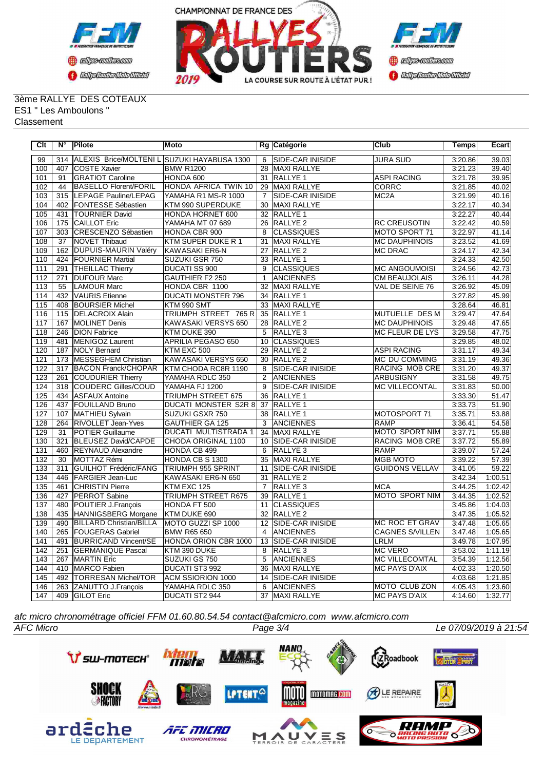



3ème RALLYE DES COTEAUX ES1 " Les Amboulons " Classement

| Clt | $N^{\circ}$     | Pilote                         | Moto                                        |                 | Rg Catégorie            | Club                   | <b>Temps</b> | Ecart   |
|-----|-----------------|--------------------------------|---------------------------------------------|-----------------|-------------------------|------------------------|--------------|---------|
| 99  | 314             |                                | ALEXIS Brice/MOLTENI L SUZUKI HAYABUSA 1300 | 6               | <b>SIDE-CAR INISIDE</b> | JURA SUD               | 3:20.86      | 39.03   |
| 100 | 407             | <b>COSTE Xavier</b>            | <b>BMW R1200</b>                            | 28              | MAXI RALLYE             |                        | 3:21.23      | 39.40   |
| 101 | 91              | <b>GRATIOT Caroline</b>        | HONDA 600                                   | $\overline{31}$ | RALLYE 1                | <b>ASPI RACING</b>     | 3:21.78      | 39.95   |
| 102 | 44              | <b>BASELLO Florent/FORIL</b>   | HONDA AFRICA TWIN 10                        | 29              | <b>MAXI RALLYE</b>      | CORRC                  | 3:21.85      | 40.02   |
| 103 | 315             | LEPAGE Pauline/LEPAG           | YAMAHA R1 MS-R 1000                         | $\overline{7}$  | SIDE-CAR INISIDE        | MC <sub>2</sub> A      | 3:21.99      | 40.16   |
| 104 | 402             | <b>FONTESSE Sébastien</b>      | KTM 990 SUPERDUKE                           | 30              | MAXI RALLYE             |                        | 3:22.17      | 40.34   |
| 105 | 431             | <b>TOURNIER David</b>          | HONDA HORNET 600                            | 32              | RALLYE 1                |                        | 3:22.27      | 40.44   |
| 106 | 175             | <b>CAILLOT Eric</b>            | <b>YAMAHA MT 07 689</b>                     | 26              | <b>RALLYE 2</b>         | <b>RC CREUSOTIN</b>    | 3:22.42      | 40.59   |
| 107 | 303             | CRESCENZO Sébastien            | <b>HONDA CBR 900</b>                        | 8               | <b>CLASSIQUES</b>       | MOTO SPORT 71          | 3:22.97      | 41.14   |
| 108 | $\overline{37}$ | <b>NOVET Thibaud</b>           | KTM SUPER DUKE R 1                          | $\overline{31}$ | <b>MAXI RALLYE</b>      | <b>MC DAUPHINOIS</b>   | 3:23.52      | 41.69   |
| 109 | 162             | DUPUIS-MAURIN Valéry           | KAWASAKI ER6-N                              | 27              | RALLYE <sub>2</sub>     | MC DRAC                | 3:24.17      | 42.34   |
| 110 | 424             | <b>FOURNIER Martial</b>        | SUZUKI GSR 750                              | 33              | RALLYE 1                |                        | 3:24.33      | 42.50   |
| 111 | 291             | <b>THEILLAC Thierry</b>        | DUCATI SS 900                               | 9               | <b>CLASSIQUES</b>       | <b>MC ANGOUMOISI</b>   | 3:24.56      | 42.73   |
| 112 | 271             | <b>DUFOUR Marc</b>             | GAUTHIER F2 250                             | $\mathbf{1}$    | <b>ANCIENNES</b>        | <b>CM BEAUJOLAIS</b>   | 3:26.11      | 44.28   |
| 113 | 55              | <b>LAMOUR Marc</b>             | HONDA CBR 1100                              | 32              | <b>MAXI RALLYE</b>      | VAL DE SEINE 76        | 3:26.92      | 45.09   |
| 114 | 432             | VAURIS Etienne                 | <b>DUCATI MONSTER 796</b>                   | 34              | RALLYE 1                |                        | 3:27.82      | 45.99   |
| 115 | 408             | <b>BOURSIER Michel</b>         | KTM 990 SMT                                 | 33              | MAXI RALLYE             |                        | 3:28.64      | 46.81   |
| 116 | 115             | <b>DELACROIX Alain</b>         | TRIUMPH STREET 765 R                        | 35              | RALLYE <sub>1</sub>     | MUTUELLE DES M         | 3:29.47      | 47.64   |
| 117 | 167             | MOLINET Denis                  | KAWASAKI VERSYS 650                         |                 | 28 RALLYE 2             | <b>MC DAUPHINOIS</b>   | 3:29.48      | 47.65   |
| 118 | 246             | <b>DION Fabrice</b>            | KTM DUKE 390                                | $\overline{5}$  | RALLYE 3                | <b>MC FLEUR DE LYS</b> | 3:29.58      | 47.75   |
| 119 | 481             | MENIGOZ Laurent                | APRILIA PEGASO 650                          | 10              | <b>CLASSIQUES</b>       |                        | 3:29.85      | 48.02   |
| 120 | 187             | <b>NOLY Bernard</b>            | KTM EXC 500                                 | $\overline{29}$ | <b>RALLYE 2</b>         | <b>ASPI RACING</b>     | 3:31.17      | 49.34   |
| 121 | 173             | MESSEGHEM Christian            | KAWASAKI VERSYS 650                         | 30              | <b>RALLYE 2</b>         | MC DU COMMING          | 3:31.19      | 49.36   |
| 122 | 317             | <b>BACON Franck/CHOPAR</b>     | KTM CHODA RC8R 1190                         | 8               | <b>SIDE-CAR INISIDE</b> | RACING MOB CRE         | 3:31.20      | 49.37   |
| 123 | 261             | COUDURIER Thierry              | YAMAHA RDLC 350                             | 2               | <b>ANCIENNES</b>        | <b>ARBUSIGNY</b>       | 3:31.58      | 49.75   |
| 124 | 318             | COUDERC Gilles/COUD            | YAMAHA FJ 1200                              | 9               | <b>SIDE-CAR INISIDE</b> | <b>MC VILLECONTAL</b>  | 3:31.83      | 50.00   |
| 125 | 434             | <b>ASFAUX Antoine</b>          | TRIUMPH STREET 675                          | 36              | RALLYE 1                |                        | 3:33.30      | 51.47   |
| 126 | 437             | <b>FOUILLAND Bruno</b>         | <b>DUCATI MONSTER S2R 8</b>                 | 37              | RALLYE <sub>1</sub>     |                        | 3:33.73      | 51.90   |
| 127 | 107             | MATHIEU Sylvain                | SUZUKI GSXR 750                             | 38              | <b>RALLYE 1</b>         | MOTOSPORT 71           | 3:35.71      | 53.88   |
| 128 | 264             | <b>RIVOLLET Jean-Yves</b>      | <b>GAUTHIER GA 125</b>                      | 3               | ANCIENNES               | <b>RAMP</b>            | 3:36.41      | 54.58   |
| 129 | 31              | POTIER Guillaume               | <b>DUCATI MULTISTRADA 1</b>                 | 34              | MAXI RALLYE             | MOTO SPORT NIM         | 3:37.71      | 55.88   |
| 130 | 321             | BLEUSEZ David/CAPDE            | CHODA ORIGINAL 1100                         | 10              | SIDE-CAR INISIDE        | RACING MOB CRE         | 3:37.72      | 55.89   |
| 131 | 460             | <b>REYNAUD Alexandre</b>       | HONDA CB 499                                | 6               | RALLYE <sub>3</sub>     | <b>RAMP</b>            | 3:39.07      | 57.24   |
| 132 | 30              | MOTTAZ Rémi                    | HONDA CB S 1300                             | 35              | MAXI RALLYE             | <b>MGB MOTO</b>        | 3:39.22      | 57.39   |
| 133 | 311             | <b>GUILHOT Frédéric/FANG</b>   | <b>TRIUMPH 955 SPRINT</b>                   | 11              | SIDE-CAR INISIDE        | <b>GUIDONS VELLAV</b>  | 3:41.05      | 59.22   |
| 134 | 446             | <b>FARGIER Jean-Luc</b>        | KAWASAKI ER6-N 650                          | 31              | <b>RALLYE 2</b>         |                        | 3:42.34      | 1:00.51 |
| 135 | 461             | <b>CHRISTIN Pierre</b>         | KTM EXC 125                                 | $\overline{7}$  | RALLYE <sub>3</sub>     | <b>MCA</b>             | 3:44.25      | 1:02.42 |
| 136 | 427             | <b>PERROT</b> Sabine           | <b>TRIUMPH STREET R675</b>                  | 39              | RALLYE <sub>1</sub>     | <b>MOTO SPORT NIM</b>  | 3:44.35      | 1:02.52 |
| 137 | 480             | POUTIER J.François             | HONDA FT 500                                | 11              | <b>CLASSIQUES</b>       |                        | 3:45.86      | 1:04.03 |
| 138 | 435             | HANNIGSBERG Morgane            | KTM DUKE 690                                | 32              | RALLYE <sub>2</sub>     |                        | 3:47.35      | 1:05.52 |
| 139 | 490             | <b>BILLARD Christian/BILLA</b> | MOTO GUZZI SP 1000                          | 12              | SIDE-CAR INISIDE        | MC ROC ET GRAV         | 3:47.48      | 1:05.65 |
| 140 | 265             | <b>FOUGERAS Gabriel</b>        | <b>BMW R65 650</b>                          | 4               | ANCIENNES               | <b>CAGNES S/VILLEN</b> | 3:47.48      | 1:05.65 |
| 141 | 491             | <b>BURRICAND Vincent/SE</b>    | HONDA ORION CBR 1000                        | 13              | SIDE-CAR INISIDE        | LRLM                   | 3:49.78      | 1:07.95 |
| 142 | 251             | <b>GERMANIQUE Pascal</b>       | KTM 390 DUKE                                | 8               | RALLYE 3                | <b>MC VERO</b>         | 3:53.02      | 1:11.19 |
| 143 | 267             | MARTIN Eric                    | SUZUKI GS 750                               | 5               | <b>ANCIENNES</b>        | MC VILLECOMTAL         | 3:54.39      | 1:12.56 |
| 144 | 410             | MARCO Fabien                   | DUCATI ST3 992                              | 36              | <b>MAXI RALLYE</b>      | <b>MC PAYS D'AIX</b>   | 4:02.33      | 1:20.50 |
| 145 | 492             | TORRESAN Michel/TOR            | <b>ACM SSIORION 1000</b>                    | 14              | SIDE-CAR INISIDE        |                        | 4:03.68      | 1:21.85 |
| 146 | 263             | ZANUTTO J.François             | YAMAHA RDLC 350                             | 6               | <b>ANCIENNES</b>        | MOTO CLUB ZON          | 4:05.43      | 1:23.60 |
| 147 | 409             | <b>GILOT Eric</b>              | DUCATI ST2 944                              |                 | 37 MAXI RALLYE          | MC PAYS D'AIX          | 4:14.60      | 1:32.77 |

*afc micro chronométrage officiel FFM 01.60.80.54.54 contact@afcmicro.com www.afcmicro.com*